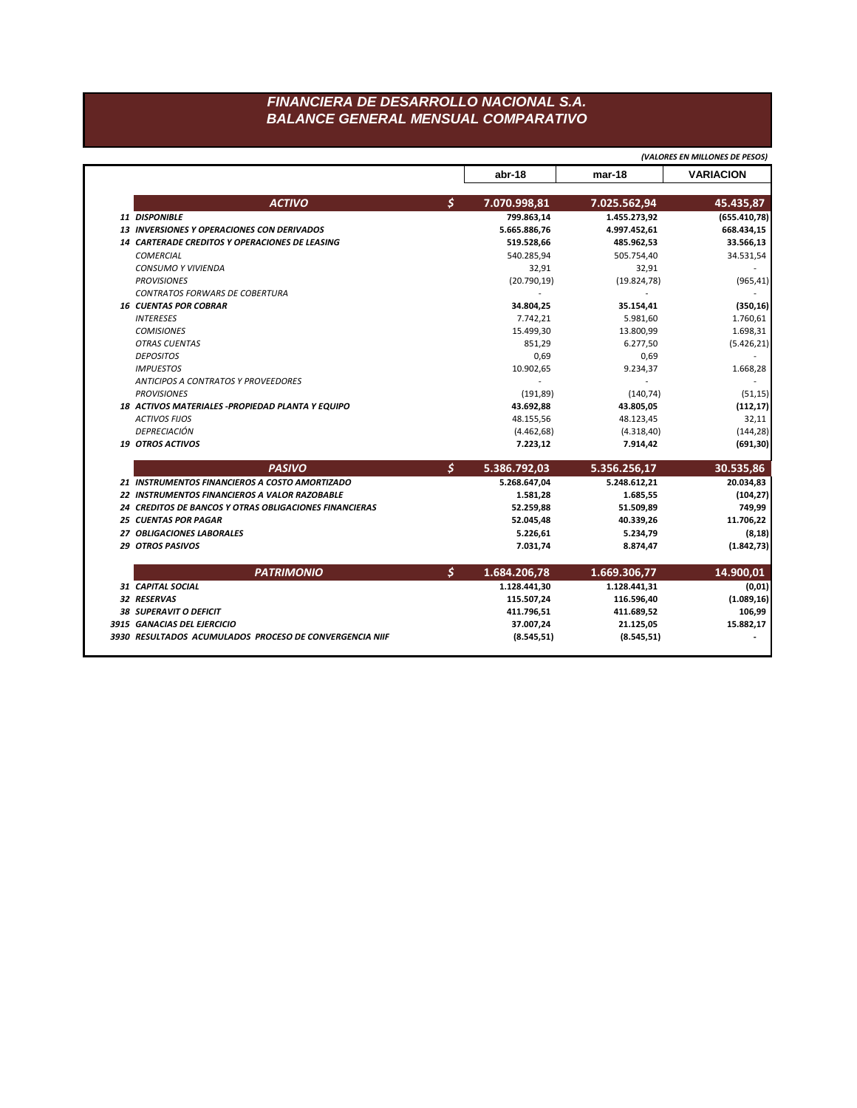## FINANCIERA DE DESARROLLO NACIONAL S.A. **BALANCE GENERAL MENSUAL COMPARATIVO**

|                               |                                                        |               |              |              | (VALORES EN MILLONES DE PESOS) |
|-------------------------------|--------------------------------------------------------|---------------|--------------|--------------|--------------------------------|
|                               |                                                        |               | abr-18       | mar-18       | <b>VARIACION</b>               |
|                               | <b>ACTIVO</b>                                          | $\mathcal{S}$ | 7.070.998,81 | 7.025.562,94 | 45.435,87                      |
| 11 DISPONIBLE                 |                                                        |               | 799.863,14   | 1.455.273,92 | (655.410,78)                   |
|                               | <b>13 INVERSIONES Y OPERACIONES CON DERIVADOS</b>      |               | 5.665.886,76 | 4.997.452,61 | 668.434,15                     |
|                               | <b>14 CARTERADE CREDITOS Y OPERACIONES DE LEASING</b>  |               | 519.528,66   | 485.962,53   | 33.566,13                      |
| <b>COMERCIAL</b>              |                                                        |               | 540.285,94   | 505.754,40   | 34.531,54                      |
|                               | <b>CONSUMO Y VIVIENDA</b>                              |               | 32,91        | 32,91        |                                |
| <b>PROVISIONES</b>            |                                                        |               | (20.790, 19) | (19.824, 78) | (965, 41)                      |
|                               | <b>CONTRATOS FORWARS DE COBERTURA</b>                  |               |              |              |                                |
| <b>16 CUENTAS POR COBRAR</b>  |                                                        |               | 34.804,25    | 35.154,41    | (350, 16)                      |
| <b>INTERESES</b>              |                                                        |               | 7.742,21     | 5.981,60     | 1.760,61                       |
| <b>COMISIONES</b>             |                                                        |               | 15.499,30    | 13.800,99    | 1.698,31                       |
| <b>OTRAS CUENTAS</b>          |                                                        |               | 851,29       | 6.277,50     | (5.426, 21)                    |
| <b>DEPOSITOS</b>              |                                                        |               | 0,69         | 0,69         |                                |
| <b>IMPUESTOS</b>              |                                                        |               | 10.902,65    | 9.234,37     | 1.668,28                       |
|                               | <b>ANTICIPOS A CONTRATOS Y PROVEEDORES</b>             |               |              |              |                                |
| <b>PROVISIONES</b>            |                                                        |               | (191, 89)    | (140, 74)    | (51, 15)                       |
|                               | 18 ACTIVOS MATERIALES - PROPIEDAD PLANTA Y EQUIPO      |               | 43.692,88    | 43.805,05    | (112, 17)                      |
| <b>ACTIVOS FIJOS</b>          |                                                        |               | 48.155,56    | 48.123,45    | 32,11                          |
| <b>DEPRECIACIÓN</b>           |                                                        |               | (4.462, 68)  | (4.318, 40)  | (144, 28)                      |
| <b>19 OTROS ACTIVOS</b>       |                                                        |               | 7.223,12     | 7.914,42     | (691, 30)                      |
|                               | <b>PASIVO</b>                                          | \$            | 5.386.792,03 | 5.356.256,17 | 30.535,86                      |
|                               | 21 INSTRUMENTOS FINANCIEROS A COSTO AMORTIZADO         |               | 5.268.647,04 | 5.248.612,21 | 20.034,83                      |
|                               | 22 INSTRUMENTOS FINANCIEROS A VALOR RAZOBABLE          |               | 1.581,28     | 1.685,55     | (104, 27)                      |
|                               | 24 CREDITOS DE BANCOS Y OTRAS OBLIGACIONES FINANCIERAS |               | 52.259,88    | 51.509,89    | 749,99                         |
| <b>25 CUENTAS POR PAGAR</b>   |                                                        |               | 52.045,48    | 40.339,26    | 11.706,22                      |
|                               | 27 OBLIGACIONES LABORALES                              |               | 5.226,61     | 5.234,79     | (8, 18)                        |
| <b>29 OTROS PASIVOS</b>       |                                                        |               | 7.031,74     | 8.874,47     | (1.842, 73)                    |
|                               | <b>PATRIMONIO</b>                                      | \$            | 1.684.206,78 | 1.669.306,77 | 14.900,01                      |
| 31 CAPITAL SOCIAL             |                                                        |               | 1.128.441,30 | 1.128.441,31 | (0, 01)                        |
| 32 RESERVAS                   |                                                        |               | 115.507,24   | 116.596,40   | (1.089, 16)                    |
|                               |                                                        |               |              |              |                                |
|                               |                                                        |               | 411.796,51   | 411.689,52   | 106,99                         |
| <b>38 SUPERAVIT O DEFICIT</b> | 3915 GANACIAS DEL EJERCICIO                            |               | 37.007,24    | 21.125,05    | 15.882,17                      |